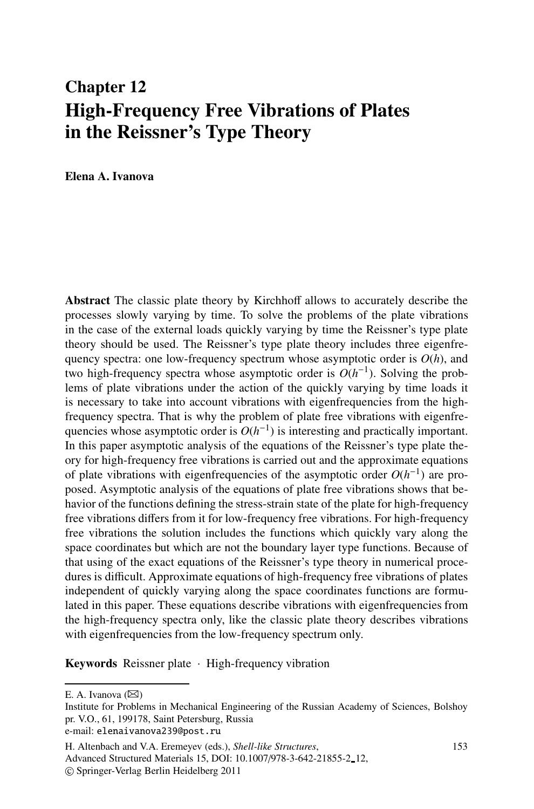# **Chapter 12 High-Frequency Free Vibrations of Plates in the Reissner's Type Theory**

**Elena A. Ivanova**

**Abstract** The classic plate theory by Kirchhoff allows to accurately describe the processes slowly varying by time. To solve the problems of the plate vibrations in the case of the external loads quickly varying by time the Reissner's type plate theory should be used. The Reissner's type plate theory includes three eigenfrequency spectra: one low-frequency spectrum whose asymptotic order is *O*(*h*), and two high-frequency spectra whose asymptotic order is  $O(h^{-1})$ . Solving the problems of plate vibrations under the action of the quickly varying by time loads it is necessary to take into account vibrations with eigenfrequencies from the highfrequency spectra. That is why the problem of plate free vibrations with eigenfrequencies whose asymptotic order is  $O(h^{-1})$  is interesting and practically important. In this paper asymptotic analysis of the equations of the Reissner's type plate theory for high-frequency free vibrations is carried out and the approximate equations of plate vibrations with eigenfrequencies of the asymptotic order *O*(*h*<sup>−</sup>1) are proposed. Asymptotic analysis of the equations of plate free vibrations shows that behavior of the functions defining the stress-strain state of the plate for high-frequency free vibrations differs from it for low-frequency free vibrations. For high-frequency free vibrations the solution includes the functions which quickly vary along the space coordinates but which are not the boundary layer type functions. Because of that using of the exact equations of the Reissner's type theory in numerical procedures is difficult. Approximate equations of high-frequency free vibrations of plates independent of quickly varying along the space coordinates functions are formulated in this paper. These equations describe vibrations with eigenfrequencies from the high-frequency spectra only, like the classic plate theory describes vibrations with eigenfrequencies from the low-frequency spectrum only.

**Keywords** Reissner plate · High-frequency vibration

Advanced Structured Materials 15, DOI: 10.1007/978-3-642-21855-2 12, © Springer-Verlag Berlin Heidelberg 2011

E. A. Ivanova  $(\boxtimes)$ 

Institute for Problems in Mechanical Engineering of the Russian Academy of Sciences, Bolshoy pr. V.O., 61, 199178, Saint Petersburg, Russia

e-mail: elenaivanova239@post.ru

H. Altenbach and V.A. Eremeyev (eds.), *Shell-like Structures*, 153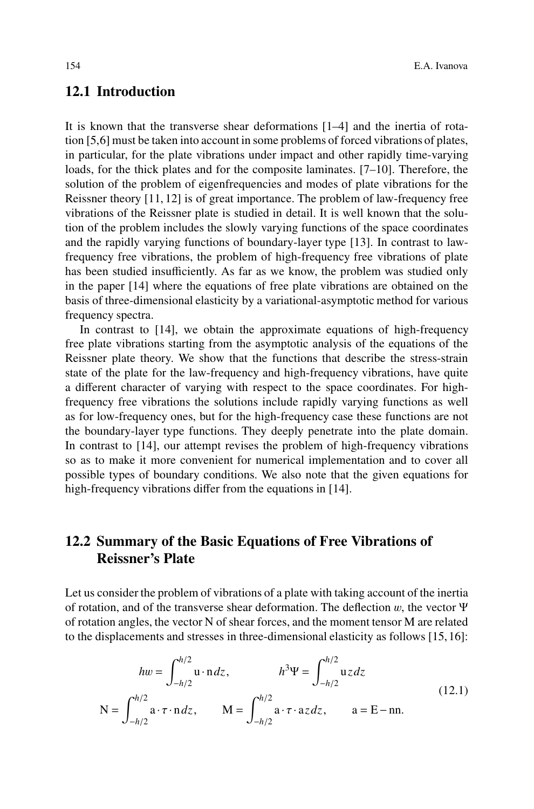#### **12.1 Introduction**

It is known that the transverse shear deformations [1–4] and the inertia of rotation [5,6] must be taken into account in some problems of forced vibrations of plates, in particular, for the plate vibrations under impact and other rapidly time-varying loads, for the thick plates and for the composite laminates. [7–10]. Therefore, the solution of the problem of eigenfrequencies and modes of plate vibrations for the Reissner theory [11, 12] is of great importance. The problem of law-frequency free vibrations of the Reissner plate is studied in detail. It is well known that the solution of the problem includes the slowly varying functions of the space coordinates and the rapidly varying functions of boundary-layer type [13]. In contrast to lawfrequency free vibrations, the problem of high-frequency free vibrations of plate has been studied insufficiently. As far as we know, the problem was studied only in the paper [14] where the equations of free plate vibrations are obtained on the basis of three-dimensional elasticity by a variational-asymptotic method for various frequency spectra.

In contrast to [14], we obtain the approximate equations of high-frequency free plate vibrations starting from the asymptotic analysis of the equations of the Reissner plate theory. We show that the functions that describe the stress-strain state of the plate for the law-frequency and high-frequency vibrations, have quite a different character of varying with respect to the space coordinates. For highfrequency free vibrations the solutions include rapidly varying functions as well as for low-frequency ones, but for the high-frequency case these functions are not the boundary-layer type functions. They deeply penetrate into the plate domain. In contrast to [14], our attempt revises the problem of high-frequency vibrations so as to make it more convenient for numerical implementation and to cover all possible types of boundary conditions. We also note that the given equations for high-frequency vibrations differ from the equations in [14].

### **12.2 Summary of the Basic Equations of Free Vibrations of Reissner's Plate**

Let us consider the problem of vibrations of a plate with taking account of the inertia of rotation, and of the transverse shear deformation. The deflection w, the vector  $\Psi$ of rotation angles, the vector N of shear forces, and the moment tensor M are related to the displacements and stresses in three-dimensional elasticity as follows [15,16]:

$$
hw = \int_{-h/2}^{h/2} u \cdot n dz, \qquad h^{3} \Psi = \int_{-h/2}^{h/2} u z dz
$$
  
\n
$$
N = \int_{-h/2}^{h/2} a \cdot \tau \cdot n dz, \qquad M = \int_{-h/2}^{h/2} a \cdot \tau \cdot a z dz, \qquad a = E - nn.
$$
\n(12.1)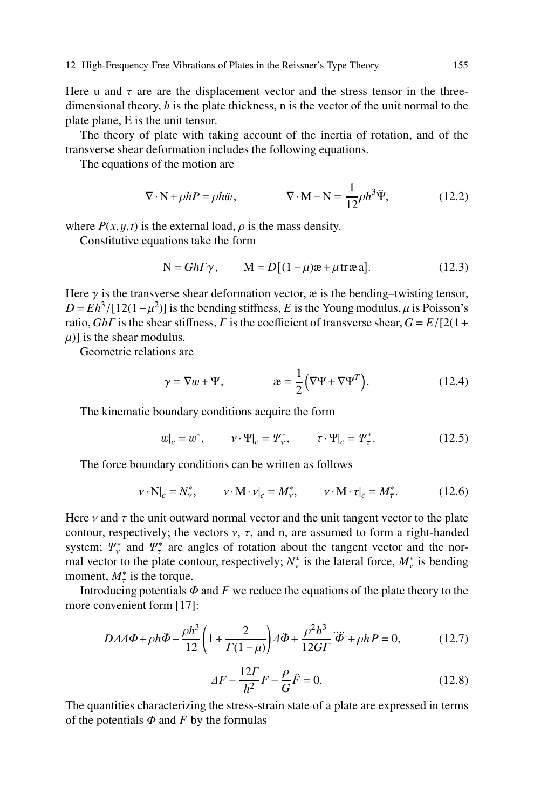Here u and  $\tau$  are are the displacement vector and the stress tensor in the threedimensional theory, *h* is the plate thickness, n is the vector of the unit normal to the plate plane, E is the unit tensor.

The theory of plate with taking account of the inertia of rotation, and of the transverse shear deformation includes the following equations.

The equations of the motion are

$$
\nabla \cdot \mathbf{N} + \rho h P = \rho h \ddot{w}, \qquad \nabla \cdot \mathbf{M} - \mathbf{N} = \frac{1}{12} \rho h^3 \ddot{\Psi}, \qquad (12.2)
$$

where  $P(x, y, t)$  is the external load,  $\rho$  is the mass density.

Constitutive equations take the form

$$
N = Gh\Gamma\gamma, \qquad M = D[(1 - \mu)\mathfrak{E} + \mu \text{tr}\mathfrak{E} \text{a}]. \tag{12.3}
$$

Here  $\gamma$  is the transverse shear deformation vector, æ is the bending–twisting tensor,  $D - Fh^3 / [12(1 - \mu^2)]$  is the bending stiffness F is the Young modulus  $\mu$  is Poisson's  $D = Eh^3/[12(1-\mu^2)]$  is the bending stiffness, *E* is the Young modulus,  $\mu$  is Poisson's<br>ratio *GhF* is the shear stiffness *F* is the coefficient of transverse shear  $G = F/[2(1+\mu^2)]$ ratio, *GhF* is the shear stiffness, *F* is the coefficient of transverse shear,  $G = E/[2(1 +$  $\mu$ ) is the shear modulus.

Geometric relations are

$$
\gamma = \nabla w + \Psi, \qquad \qquad \mathbf{a} = \frac{1}{2} \left( \nabla \Psi + \nabla \Psi^T \right). \tag{12.4}
$$

The kinematic boundary conditions acquire the form

$$
w|_{c} = w^*, \qquad \nu \cdot \Psi|_{c} = \Psi_{\nu}^*, \qquad \tau \cdot \Psi|_{c} = \Psi_{\tau}^*.
$$
 (12.5)

The force boundary conditions can be written as follows

$$
\nu \cdot \mathbf{N}|_c = N_{\nu}^*, \qquad \nu \cdot \mathbf{M} \cdot \nu|_c = M_{\nu}^*, \qquad \nu \cdot \mathbf{M} \cdot \tau|_c = M_{\tau}^*.
$$
 (12.6)

Here  $\nu$  and  $\tau$  the unit outward normal vector and the unit tangent vector to the plate contour, respectively; the vectors  $\nu$ ,  $\tau$ , and n, are assumed to form a right-handed system;  $\Psi^*_{\tau}$  and  $\Psi^*_{\tau}$  are angles of rotation about the tangent vector and the nor-<br>mal vector to the plate contour respectively:  $N^*$  is the lateral force  $M^*$  is bending mal vector to the plate contour, respectively;  $N_v^*$  is the lateral force,  $M_v^*$  is bending moment  $M^*$  is the torque moment,  $M^*_{\tau}$  is the torque.<br>Introducing potentials of

Introducing potentials  $\Phi$  and  $F$  we reduce the equations of the plate theory to the more convenient form [17]:

$$
D\Delta\Delta\Phi + \rho h \ddot{\Phi} - \frac{\rho h^3}{12} \left( 1 + \frac{2}{\Gamma(1-\mu)} \right) \Delta\ddot{\Phi} + \frac{\rho^2 h^3}{12GT} \dddot{\Phi} + \rho h P = 0, \tag{12.7}
$$

$$
\Delta F - \frac{12\Gamma}{h^2}F - \frac{\rho}{G}\ddot{F} = 0.
$$
 (12.8)

The quantities characterizing the stress-strain state of a plate are expressed in terms of the potentials  $\Phi$  and  $F$  by the formulas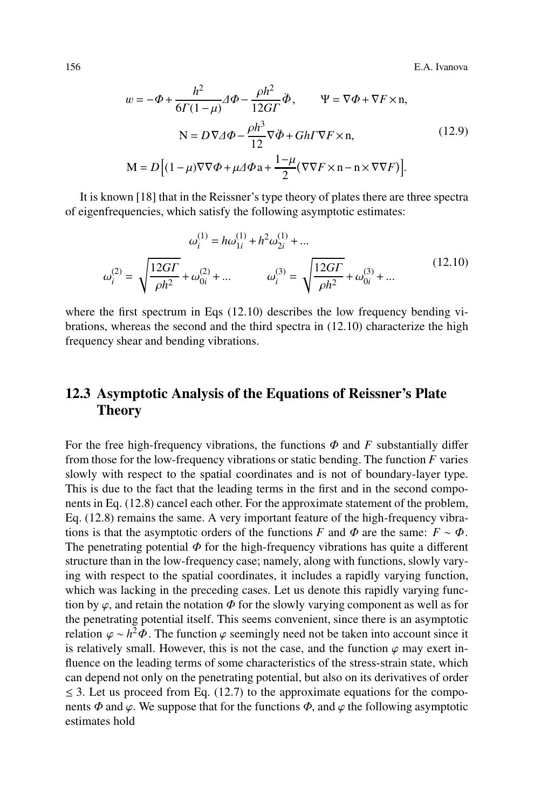156 E.A. Ivanova

$$
w = -\Phi + \frac{h^2}{6\Gamma(1-\mu)} 4\Phi - \frac{\rho h^2}{12GT} \ddot{\Phi}, \qquad \Psi = \nabla\Phi + \nabla F \times \mathbf{n},
$$
  
\n
$$
\mathbf{N} = D \nabla 4\Phi - \frac{\rho h^3}{12} \nabla \ddot{\Phi} + Gh\Gamma \nabla F \times \mathbf{n},
$$
  
\n
$$
\mathbf{M} = D \Big[ (1-\mu) \nabla \nabla \Phi + \mu 4\Phi \mathbf{a} + \frac{1-\mu}{2} (\nabla \nabla F \times \mathbf{n} - \mathbf{n} \times \nabla \nabla F) \Big].
$$
  
\n(12.9)

It is known [18] that in the Reissner's type theory of plates there are three spectra of eigenfrequencies, which satisfy the following asymptotic estimates:

$$
\omega_i^{(1)} = h\omega_{1i}^{(1)} + h^2\omega_{2i}^{(1)} + \dots
$$

$$
\omega_i^{(2)} = \sqrt{\frac{12GT}{\rho h^2}} + \omega_{0i}^{(2)} + \dots \qquad \omega_i^{(3)} = \sqrt{\frac{12GT}{\rho h^2}} + \omega_{0i}^{(3)} + \dots \qquad (12.10)
$$

where the first spectrum in Eqs (12.10) describes the low frequency bending vibrations, whereas the second and the third spectra in (12.10) characterize the high frequency shear and bending vibrations.

### **12.3 Asymptotic Analysis of the Equations of Reissner's Plate Theory**

For the free high-frequency vibrations, the functions  $\Phi$  and *F* substantially differ from those for the low-frequency vibrations or static bending. The function *F* varies slowly with respect to the spatial coordinates and is not of boundary-layer type. This is due to the fact that the leading terms in the first and in the second components in Eq. (12.8) cancel each other. For the approximate statement of the problem, Eq. (12.8) remains the same. A very important feature of the high-frequency vibrations is that the asymptotic orders of the functions *F* and  $\Phi$  are the same:  $F \sim \Phi$ . The penetrating potential  $\Phi$  for the high-frequency vibrations has quite a different structure than in the low-frequency case; namely, along with functions, slowly varying with respect to the spatial coordinates, it includes a rapidly varying function, which was lacking in the preceding cases. Let us denote this rapidly varying function by  $\varphi$ , and retain the notation  $\Phi$  for the slowly varying component as well as for the penetrating potential itself. This seems convenient, since there is an asymptotic relation  $\varphi \sim h^2 \vec{\Phi}$ . The function  $\varphi$  seemingly need not be taken into account since it is relatively small. However, this is not the case, and the function  $\varphi$  may exert influence on the leading terms of some characteristics of the stress-strain state, which can depend not only on the penetrating potential, but also on its derivatives of order  $\leq$  3. Let us proceed from Eq. (12.7) to the approximate equations for the components  $\Phi$  and  $\varphi$ . We suppose that for the functions  $\Phi$ , and  $\varphi$  the following asymptotic estimates hold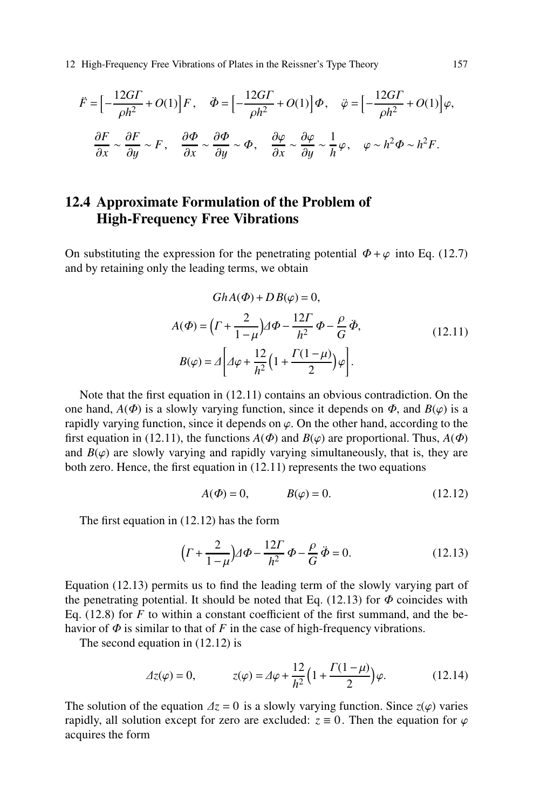12 High-Frequency Free Vibrations of Plates in the Reissner's Type Theory 157

$$
\ddot{F} = \left[ -\frac{12GT}{\rho h^2} + O(1) \right] F, \quad \ddot{\Phi} = \left[ -\frac{12GT}{\rho h^2} + O(1) \right] \Phi, \quad \ddot{\varphi} = \left[ -\frac{12GT}{\rho h^2} + O(1) \right] \varphi,
$$
\n
$$
\frac{\partial F}{\partial x} \sim \frac{\partial F}{\partial y} \sim F, \quad \frac{\partial \Phi}{\partial x} \sim \frac{\partial \Phi}{\partial y} \sim \Phi, \quad \frac{\partial \varphi}{\partial x} \sim \frac{\partial \varphi}{\partial y} \sim \frac{1}{h} \varphi, \quad \varphi \sim h^2 \Phi \sim h^2 F.
$$

# **12.4 Approximate Formulation of the Problem of High-Frequency Free Vibrations**

On substituting the expression for the penetrating potential  $\Phi + \varphi$  into Eq. (12.7) and by retaining only the leading terms, we obtain

$$
GhA(\Phi) + DB(\varphi) = 0,
$$
  
\n
$$
A(\Phi) = \left(\Gamma + \frac{2}{1-\mu}\right) \Delta \Phi - \frac{12\Gamma}{h^2} \Phi - \frac{\rho}{G} \ddot{\Phi},
$$
  
\n
$$
B(\varphi) = \Delta \left[\Delta \varphi + \frac{12}{h^2} \left(1 + \frac{\Gamma(1-\mu)}{2}\right) \varphi\right].
$$
\n(12.11)

Note that the first equation in (12.11) contains an obvious contradiction. On the one hand,  $A(\Phi)$  is a slowly varying function, since it depends on  $\Phi$ , and  $B(\varphi)$  is a rapidly varying function, since it depends on  $\varphi$ . On the other hand, according to the first equation in (12.11), the functions  $A(\Phi)$  and  $B(\varphi)$  are proportional. Thus,  $A(\Phi)$ and  $B(\varphi)$  are slowly varying and rapidly varying simultaneously, that is, they are both zero. Hence, the first equation in (12.11) represents the two equations

$$
A(\Phi) = 0, \qquad B(\varphi) = 0. \tag{12.12}
$$

The first equation in (12.12) has the form

$$
\left(\Gamma + \frac{2}{1-\mu}\right) \Delta \Phi - \frac{12\Gamma}{h^2} \Phi - \frac{\rho}{G} \ddot{\Phi} = 0.
$$
 (12.13)

Equation (12.13) permits us to find the leading term of the slowly varying part of the penetrating potential. It should be noted that Eq. (12.13) for  $\Phi$  coincides with Eq.  $(12.8)$  for *F* to within a constant coefficient of the first summand, and the behavior of  $\Phi$  is similar to that of *F* in the case of high-frequency vibrations.

The second equation in (12.12) is

$$
\Delta z(\varphi) = 0, \qquad z(\varphi) = \Delta \varphi + \frac{12}{h^2} \left( 1 + \frac{\Gamma(1-\mu)}{2} \right) \varphi. \tag{12.14}
$$

The solution of the equation  $\Delta z = 0$  is a slowly varying function. Since  $z(\varphi)$  varies rapidly, all solution except for zero are excluded:  $z \equiv 0$ . Then the equation for  $\varphi$ acquires the form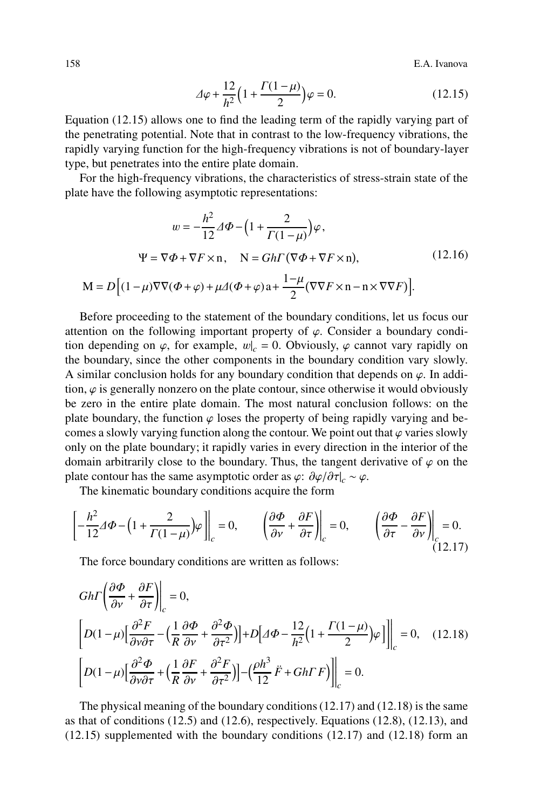158 E.A. Ivanova

$$
\Delta \varphi + \frac{12}{h^2} \Big( 1 + \frac{\Gamma(1 - \mu)}{2} \Big) \varphi = 0.
$$
 (12.15)

Equation (12.15) allows one to find the leading term of the rapidly varying part of the penetrating potential. Note that in contrast to the low-frequency vibrations, the rapidly varying function for the high-frequency vibrations is not of boundary-layer type, but penetrates into the entire plate domain.

For the high-frequency vibrations, the characteristics of stress-strain state of the plate have the following asymptotic representations:

$$
w = -\frac{h^2}{12} \Delta \Phi - \left(1 + \frac{2}{\Gamma(1-\mu)}\right) \varphi,
$$
  

$$
\Psi = \nabla \Phi + \nabla F \times \mathbf{n}, \quad \mathbf{N} = Gh\Gamma(\nabla \Phi + \nabla F \times \mathbf{n}), \tag{12.16}
$$
  

$$
\mathbf{M} = D\left[(1-\mu)\nabla \nabla(\Phi + \varphi) + \mu \Delta(\Phi + \varphi) \mathbf{a} + \frac{1-\mu}{2}(\nabla \nabla F \times \mathbf{n} - \mathbf{n} \times \nabla \nabla F)\right].
$$

Before proceeding to the statement of the boundary conditions, let us focus our attention on the following important property of  $\varphi$ . Consider a boundary condi-<br>tion depending on  $\varphi$  for example  $|w| = 0$ . Obviously  $\varphi$  cannot vary rapidly on tion depending on  $\varphi$ , for example,  $w|_c = 0$ . Obviously,  $\varphi$  cannot vary rapidly on the boundary since the other components in the boundary condition vary slowly the boundary, since the other components in the boundary condition vary slowly. A similar conclusion holds for any boundary condition that depends on  $\varphi$ . In addition,  $\varphi$  is generally nonzero on the plate contour, since otherwise it would obviously be zero in the entire plate domain. The most natural conclusion follows: on the plate boundary, the function  $\varphi$  loses the property of being rapidly varying and becomes a slowly varying function along the contour. We point out that  $\varphi$  varies slowly only on the plate boundary; it rapidly varies in every direction in the interior of the domain arbitrarily close to the boundary. Thus, the tangent derivative of  $\varphi$  on the plate contour has the same asymptotic order as  $\varphi$ :  $\partial \varphi / \partial \tau |_c \sim \varphi$ .<br>The kinematic boundary conditions acquire the form

The kinematic boundary conditions acquire the form

$$
\left[-\frac{h^2}{12}d\Phi - \left(1 + \frac{2}{\Gamma(1-\mu)}\right)\varphi\right]\bigg|_c = 0, \qquad \left(\frac{\partial\Phi}{\partial v} + \frac{\partial F}{\partial \tau}\right)\bigg|_c = 0, \qquad \left(\frac{\partial\Phi}{\partial \tau} - \frac{\partial F}{\partial v}\right)\bigg|_c = 0.
$$
\n(12.17)

The force boundary conditions are written as follows:

$$
Gh\left[\frac{\partial\Phi}{\partial v} + \frac{\partial F}{\partial \tau}\right]\Big|_{c} = 0,
$$
  
\n
$$
\left[D(1-\mu)\left[\frac{\partial^{2} F}{\partial v \partial \tau} - \left(\frac{1}{R}\frac{\partial \Phi}{\partial v} + \frac{\partial^{2} \Phi}{\partial \tau^{2}}\right)\right] + D\left[A\Phi - \frac{12}{h^{2}}\left(1 + \frac{\Gamma(1-\mu)}{2}\right)\varphi\right]\right]\Big|_{c} = 0, \quad (12.18)
$$
  
\n
$$
\left[D(1-\mu)\left[\frac{\partial^{2} \Phi}{\partial v \partial \tau} + \left(\frac{1}{R}\frac{\partial F}{\partial v} + \frac{\partial^{2} F}{\partial \tau^{2}}\right)\right] - \left(\frac{\rho h^{3}}{12}\ddot{F} + Gh\dot{F}\dot{F}\right)\right]\Big|_{c} = 0.
$$

The physical meaning of the boundary conditions (12.17) and (12.18) is the same as that of conditions  $(12.5)$  and  $(12.6)$ , respectively. Equations  $(12.8)$ ,  $(12.13)$ , and (12.15) supplemented with the boundary conditions (12.17) and (12.18) form an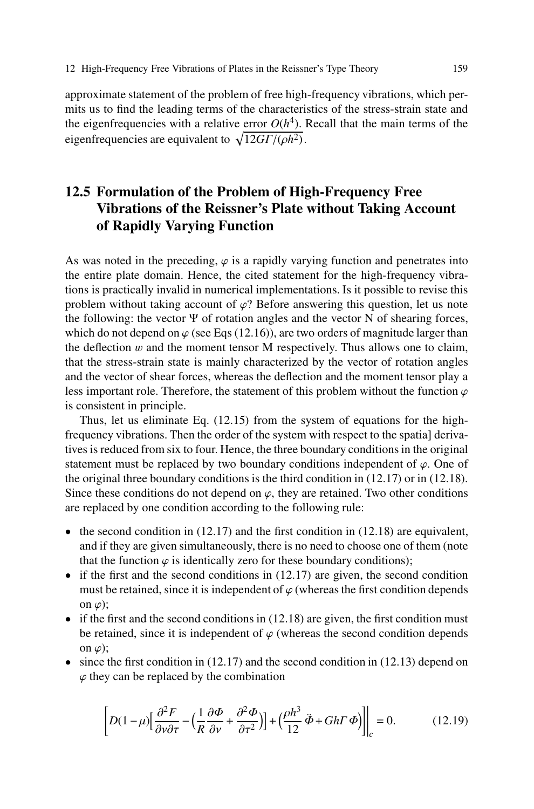approximate statement of the problem of free high-frequency vibrations, which permits us to find the leading terms of the characteristics of the stress-strain state and the eigenfrequencies with a relative error  $O(h^4)$ . Recall that the main terms of the eigenfrequencies are equivalent to <sup>12</sup>*G*Γ/(ρ*h*2).

## **12.5 Formulation of the Problem of High-Frequency Free Vibrations of the Reissner's Plate without Taking Account of Rapidly Varying Function**

As was noted in the preceding,  $\varphi$  is a rapidly varying function and penetrates into the entire plate domain. Hence, the cited statement for the high-frequency vibrations is practically invalid in numerical implementations. Is it possible to revise this problem without taking account of  $\varphi$ ? Before answering this question, let us note the following: the vector  $\Psi$  of rotation angles and the vector N of shearing forces, which do not depend on  $\varphi$  (see Eqs (12.16)), are two orders of magnitude larger than the deflection  $w$  and the moment tensor M respectively. Thus allows one to claim, that the stress-strain state is mainly characterized by the vector of rotation angles and the vector of shear forces, whereas the deflection and the moment tensor play a less important role. Therefore, the statement of this problem without the function  $\varphi$ is consistent in principle.

Thus, let us eliminate Eq. (12.15) from the system of equations for the highfrequency vibrations. Then the order of the system with respect to the spatia] derivatives is reduced from six to four. Hence, the three boundary conditions in the original statement must be replaced by two boundary conditions independent of  $\varphi$ . One of the original three boundary conditions is the third condition in  $(12.17)$  or in  $(12.18)$ . Since these conditions do not depend on  $\varphi$ , they are retained. Two other conditions are replaced by one condition according to the following rule:

- the second condition in  $(12.17)$  and the first condition in  $(12.18)$  are equivalent, and if they are given simultaneously, there is no need to choose one of them (note that the function  $\varphi$  is identically zero for these boundary conditions);
- $\bullet$  if the first and the second conditions in (12.17) are given, the second condition must be retained, since it is independent of  $\varphi$  (whereas the first condition depends on  $\varphi$ );
- $\bullet$  if the first and the second conditions in (12.18) are given, the first condition must be retained, since it is independent of  $\varphi$  (whereas the second condition depends on  $\varphi$ );
- since the first condition in  $(12.17)$  and the second condition in  $(12.13)$  depend on  $\varphi$  they can be replaced by the combination

$$
\left[D(1-\mu)\left[\frac{\partial^2 F}{\partial \nu \partial \tau} - \left(\frac{1}{R}\frac{\partial \Phi}{\partial \nu} + \frac{\partial^2 \Phi}{\partial \tau^2}\right)\right] + \left(\frac{\rho h^3}{12}\ddot{\Phi} + Gh\dot{\Gamma}\Phi\right)\right]_c = 0.
$$
 (12.19)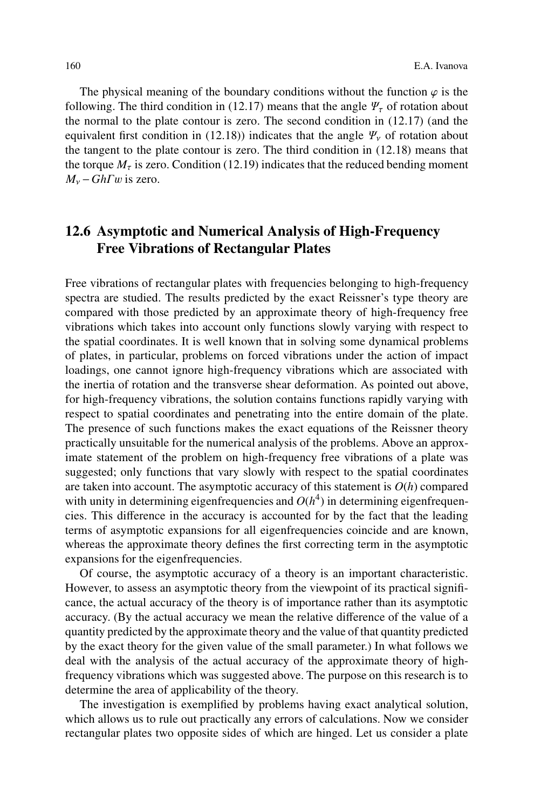The physical meaning of the boundary conditions without the function  $\varphi$  is the following. The third condition in (12.17) means that the angle  $\Psi_{\tau}$  of rotation about the normal to the plate contour is zero. The second condition in (12.17) (and the equivalent first condition in (12.18)) indicates that the angle  $\Psi_{\nu}$  of rotation about the tangent to the plate contour is zero. The third condition in (12.18) means that the torque  $M<sub>\tau</sub>$  is zero. Condition (12.19) indicates that the reduced bending moment  $M_v - G h F w$  is zero.

#### **12.6 Asymptotic and Numerical Analysis of High-Frequency Free Vibrations of Rectangular Plates**

Free vibrations of rectangular plates with frequencies belonging to high-frequency spectra are studied. The results predicted by the exact Reissner's type theory are compared with those predicted by an approximate theory of high-frequency free vibrations which takes into account only functions slowly varying with respect to the spatial coordinates. It is well known that in solving some dynamical problems of plates, in particular, problems on forced vibrations under the action of impact loadings, one cannot ignore high-frequency vibrations which are associated with the inertia of rotation and the transverse shear deformation. As pointed out above, for high-frequency vibrations, the solution contains functions rapidly varying with respect to spatial coordinates and penetrating into the entire domain of the plate. The presence of such functions makes the exact equations of the Reissner theory practically unsuitable for the numerical analysis of the problems. Above an approximate statement of the problem on high-frequency free vibrations of a plate was suggested; only functions that vary slowly with respect to the spatial coordinates are taken into account. The asymptotic accuracy of this statement is *O*(*h*) compared with unity in determining eigenfrequencies and  $O(h^4)$  in determining eigenfrequencies. This difference in the accuracy is accounted for by the fact that the leading terms of asymptotic expansions for all eigenfrequencies coincide and are known, whereas the approximate theory defines the first correcting term in the asymptotic expansions for the eigenfrequencies.

Of course, the asymptotic accuracy of a theory is an important characteristic. However, to assess an asymptotic theory from the viewpoint of its practical significance, the actual accuracy of the theory is of importance rather than its asymptotic accuracy. (By the actual accuracy we mean the relative difference of the value of a quantity predicted by the approximate theory and the value of that quantity predicted by the exact theory for the given value of the small parameter.) In what follows we deal with the analysis of the actual accuracy of the approximate theory of highfrequency vibrations which was suggested above. The purpose on this research is to determine the area of applicability of the theory.

The investigation is exemplified by problems having exact analytical solution, which allows us to rule out practically any errors of calculations. Now we consider rectangular plates two opposite sides of which are hinged. Let us consider a plate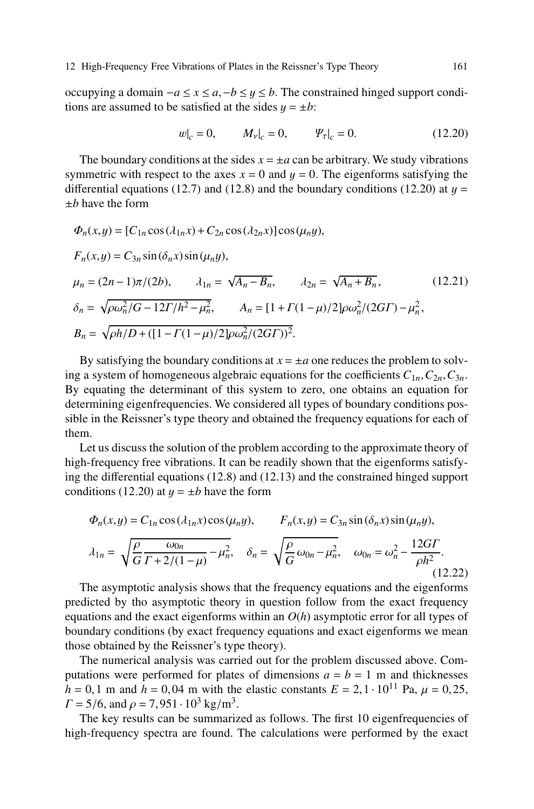#### 12 High-Frequency Free Vibrations of Plates in the Reissner's Type Theory 161

occupying a domain  $-a \le x \le a, -b \le y \le b$ . The constrained hinged support conditions are assumed to be satisfied at the sides  $y = \pm b$ :

$$
w|_{c} = 0, \t M_{\nu}|_{c} = 0, \t \t \t \t \t \t \t \t \mathcal{V}_{\tau}|_{c} = 0. \t (12.20)
$$

The boundary conditions at the sides  $x = \pm a$  can be arbitrary. We study vibrations symmetric with respect to the axes  $x = 0$  and  $y = 0$ . The eigenforms satisfying the differential equations (12.7) and (12.8) and the boundary conditions (12.20) at  $y =$ ±*b* have the form

$$
\Phi_n(x, y) = [C_{1n} \cos(\lambda_{1n} x) + C_{2n} \cos(\lambda_{2n} x)] \cos(\mu_n y),
$$
  
\n
$$
F_n(x, y) = C_{3n} \sin(\delta_n x) \sin(\mu_n y),
$$
  
\n
$$
\mu_n = (2n - 1)\pi/(2b), \qquad \lambda_{1n} = \sqrt{A_n - B_n}, \qquad \lambda_{2n} = \sqrt{A_n + B_n},
$$
  
\n
$$
\delta_n = \sqrt{\rho \omega_n^2/G - 12\Gamma/h^2 - \mu_n^2}, \qquad A_n = [1 + \Gamma(1 - \mu)/2] \rho \omega_n^2/(2GT) - \mu_n^2,
$$
  
\n
$$
B_n = \sqrt{\rho h/D + ([1 - \Gamma(1 - \mu)/2] \rho \omega_n^2/(2GT))^2}.
$$
\n(12.21)

By satisfying the boundary conditions at  $x = \pm a$  one reduces the problem to solving a system of homogeneous algebraic equations for the coefficients  $C_{1n}$ ,  $C_{2n}$ ,  $C_{3n}$ . By equating the determinant of this system to zero, one obtains an equation for determining eigenfrequencies. We considered all types of boundary conditions possible in the Reissner's type theory and obtained the frequency equations for each of them.

Let us discuss the solution of the problem according to the approximate theory of high-frequency free vibrations. It can be readily shown that the eigenforms satisfying the differential equations (12.8) and (12.13) and the constrained hinged support conditions (12.20) at  $y = \pm b$  have the form

$$
\Phi_n(x, y) = C_{1n} \cos(\lambda_{1n} x) \cos(\mu_n y), \qquad F_n(x, y) = C_{3n} \sin(\delta_n x) \sin(\mu_n y),
$$
  

$$
\lambda_{1n} = \sqrt{\frac{\rho}{G} \frac{\omega_{0n}}{\Gamma + 2/(1 - \mu)}} - \mu_n^2, \quad \delta_n = \sqrt{\frac{\rho}{G} \omega_{0n} - \mu_n^2}, \quad \omega_{0n} = \omega_n^2 - \frac{12GT}{\rho h^2}.
$$
(12.22)

The asymptotic analysis shows that the frequency equations and the eigenforms predicted by tho asymptotic theory in question follow from the exact frequency equations and the exact eigenforms within an *O*(*h*) asymptotic error for all types of boundary conditions (by exact frequency equations and exact eigenforms we mean those obtained by the Reissner's type theory).

The numerical analysis was carried out for the problem discussed above. Computations were performed for plates of dimensions  $a = b = 1$  m and thicknesses *h* = 0,1 m and *h* = 0,04 m with the elastic constants  $E = 2, 1 \cdot 10^{11}$  Pa,  $\mu = 0.25$ ,  $\Gamma = 5/6$ , and  $\rho = 7,951 \cdot 10^3$  kg/m<sup>3</sup>.

The key results can be summarized as follows. The first 10 eigenfrequencies of high-frequency spectra are found. The calculations were performed by the exact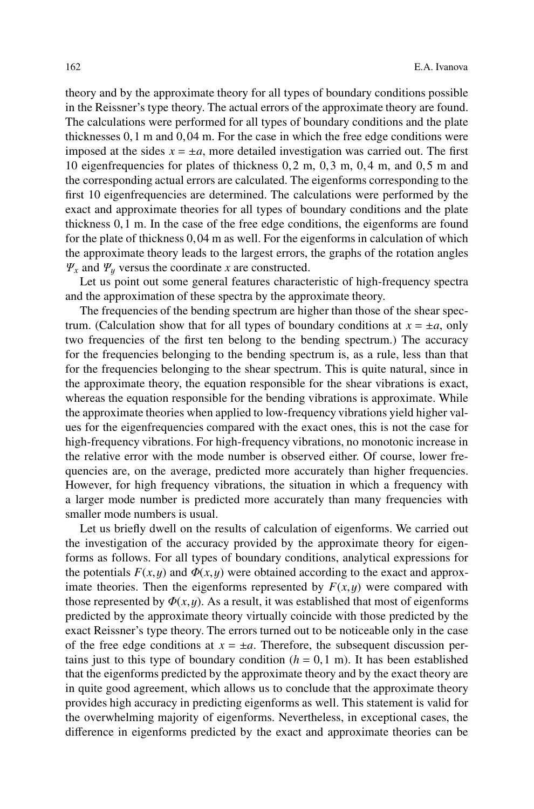theory and by the approximate theory for all types of boundary conditions possible in the Reissner's type theory. The actual errors of the approximate theory are found. The calculations were performed for all types of boundary conditions and the plate thicknesses 0,1 m and 0,04 m. For the case in which the free edge conditions were imposed at the sides  $x = \pm a$ , more detailed investigation was carried out. The first 10 eigenfrequencies for plates of thickness 0,2 m, 0,3 m, 0,4 m, and 0,5 m and the corresponding actual errors are calculated. The eigenforms corresponding to the first 10 eigenfrequencies are determined. The calculations were performed by the exact and approximate theories for all types of boundary conditions and the plate thickness 0,1 m. In the case of the free edge conditions, the eigenforms are found for the plate of thickness 0,04 m as well. For the eigenforms in calculation of which the approximate theory leads to the largest errors, the graphs of the rotation angles  $\Psi_x$  and  $\Psi_y$  versus the coordinate *x* are constructed.

Let us point out some general features characteristic of high-frequency spectra and the approximation of these spectra by the approximate theory.

The frequencies of the bending spectrum are higher than those of the shear spectrum. (Calculation show that for all types of boundary conditions at  $x = \pm a$ , only two frequencies of the first ten belong to the bending spectrum.) The accuracy for the frequencies belonging to the bending spectrum is, as a rule, less than that for the frequencies belonging to the shear spectrum. This is quite natural, since in the approximate theory, the equation responsible for the shear vibrations is exact, whereas the equation responsible for the bending vibrations is approximate. While the approximate theories when applied to low-frequency vibrations yield higher values for the eigenfrequencies compared with the exact ones, this is not the case for high-frequency vibrations. For high-frequency vibrations, no monotonic increase in the relative error with the mode number is observed either. Of course, lower frequencies are, on the average, predicted more accurately than higher frequencies. However, for high frequency vibrations, the situation in which a frequency with a larger mode number is predicted more accurately than many frequencies with smaller mode numbers is usual.

Let us briefly dwell on the results of calculation of eigenforms. We carried out the investigation of the accuracy provided by the approximate theory for eigenforms as follows. For all types of boundary conditions, analytical expressions for the potentials  $F(x, y)$  and  $\Phi(x, y)$  were obtained according to the exact and approximate theories. Then the eigenforms represented by  $F(x, y)$  were compared with those represented by  $\Phi(x, y)$ . As a result, it was established that most of eigenforms predicted by the approximate theory virtually coincide with those predicted by the exact Reissner's type theory. The errors turned out to be noticeable only in the case of the free edge conditions at  $x = \pm a$ . Therefore, the subsequent discussion pertains just to this type of boundary condition  $(h = 0, 1, m)$ . It has been established that the eigenforms predicted by the approximate theory and by the exact theory are in quite good agreement, which allows us to conclude that the approximate theory provides high accuracy in predicting eigenforms as well. This statement is valid for the overwhelming majority of eigenforms. Nevertheless, in exceptional cases, the difference in eigenforms predicted by the exact and approximate theories can be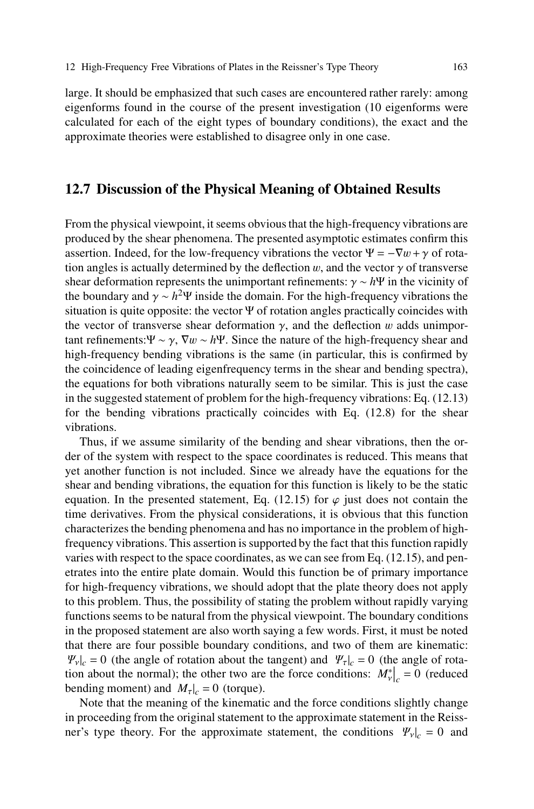large. It should be emphasized that such cases are encountered rather rarely: among eigenforms found in the course of the present investigation (10 eigenforms were calculated for each of the eight types of boundary conditions), the exact and the approximate theories were established to disagree only in one case.

#### **12.7 Discussion of the Physical Meaning of Obtained Results**

From the physical viewpoint, it seems obvious that the high-frequency vibrations are produced by the shear phenomena. The presented asymptotic estimates confirm this assertion. Indeed, for the low-frequency vibrations the vector  $\Psi = -\nabla w + \gamma$  of rotation angles is actually determined by the deflection w, and the vector  $\gamma$  of transverse shear deformation represents the unimportant refinements:  $\gamma \sim h \Psi$  in the vicinity of the boundary and  $\gamma \sim h^2 \Psi$  inside the domain. For the high-frequency vibrations the situation is quite opposite: the vector  $\Psi$  of rotation angles practically coincides with the vector of transverse shear deformation  $\gamma$ , and the deflection w adds unimportant refinements:Ψ ∼ γ,  $∇ w$  ∼ *h*Ψ. Since the nature of the high-frequency shear and high-frequency bending vibrations is the same (in particular, this is confirmed by the coincidence of leading eigenfrequency terms in the shear and bending spectra), the equations for both vibrations naturally seem to be similar. This is just the case in the suggested statement of problem for the high-frequency vibrations: Eq. (12.13) for the bending vibrations practically coincides with Eq. (12.8) for the shear vibrations.

Thus, if we assume similarity of the bending and shear vibrations, then the order of the system with respect to the space coordinates is reduced. This means that yet another function is not included. Since we already have the equations for the shear and bending vibrations, the equation for this function is likely to be the static equation. In the presented statement, Eq. (12.15) for  $\varphi$  just does not contain the time derivatives. From the physical considerations, it is obvious that this function characterizes the bending phenomena and has no importance in the problem of highfrequency vibrations. This assertion is supported by the fact that this function rapidly varies with respect to the space coordinates, as we can see from Eq. (12.15), and penetrates into the entire plate domain. Would this function be of primary importance for high-frequency vibrations, we should adopt that the plate theory does not apply to this problem. Thus, the possibility of stating the problem without rapidly varying functions seems to be natural from the physical viewpoint. The boundary conditions in the proposed statement are also worth saying a few words. First, it must be noted that there are four possible boundary conditions, and two of them are kinematic:  $\Psi_v|_c = 0$  (the angle of rotation about the tangent) and  $\Psi_\tau|_c = 0$  (the angle of rota-<br>tion about the normal); the other two are the force conditions:  $M^*| = 0$  (reduced tion about the normal); the other two are the force conditions:  $M^*_{\nu}|_c = 0$  (reduced banding moment) and  $M_{\nu} = 0$  (torgue) bending moment) and  $M_{\tau}|_c = 0$  (torque).<br>Note that the meaning of the kinematic

Note that the meaning of the kinematic and the force conditions slightly change in proceeding from the original statement to the approximate statement in the Reissner's type theory. For the approximate statement, the conditions  $\Psi_{\nu}|_c = 0$  and